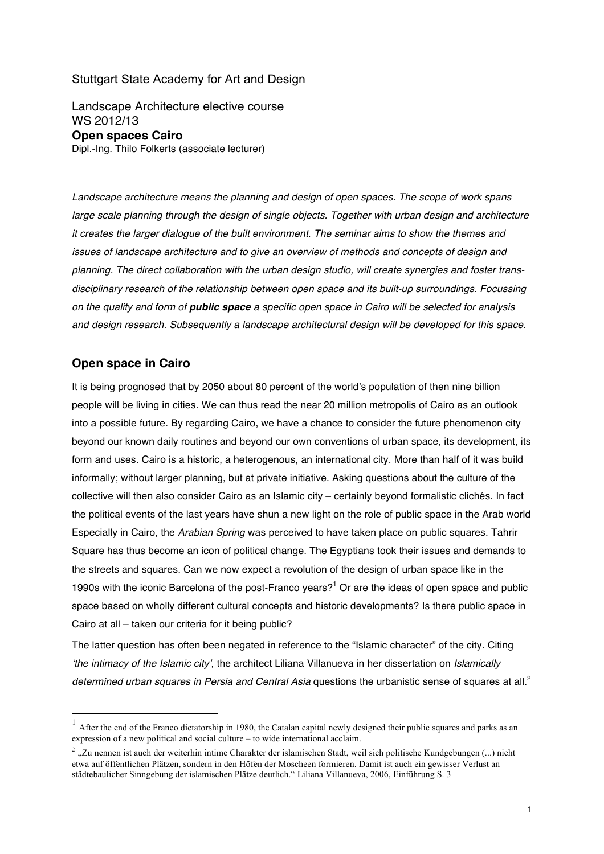## Stuttgart State Academy for Art and Design

Landscape Architecture elective course WS 2012/13 **Open spaces Cairo** Dipl.-Ing. Thilo Folkerts (associate lecturer)

*Landscape architecture means the planning and design of open spaces. The scope of work spans*  large scale planning through the design of single objects. Together with urban design and architecture *it creates the larger dialogue of the built environment. The seminar aims to show the themes and issues of landscape architecture and to give an overview of methods and concepts of design and planning. The direct collaboration with the urban design studio, will create synergies and foster transdisciplinary research of the relationship between open space and its built-up surroundings. Focussing on the quality and form of public space a specific open space in Cairo will be selected for analysis and design research. Subsequently a landscape architectural design will be developed for this space.*

## **Open space in Cairo**

It is being prognosed that by 2050 about 80 percent of the world's population of then nine billion people will be living in cities. We can thus read the near 20 million metropolis of Cairo as an outlook into a possible future. By regarding Cairo, we have a chance to consider the future phenomenon city beyond our known daily routines and beyond our own conventions of urban space, its development, its form and uses. Cairo is a historic, a heterogenous, an international city. More than half of it was build informally; without larger planning, but at private initiative. Asking questions about the culture of the collective will then also consider Cairo as an Islamic city – certainly beyond formalistic clichés. In fact the political events of the last years have shun a new light on the role of public space in the Arab world Especially in Cairo, the *Arabian Spring* was perceived to have taken place on public squares. Tahrir Square has thus become an icon of political change. The Egyptians took their issues and demands to the streets and squares. Can we now expect a revolution of the design of urban space like in the 1990s with the iconic Barcelona of the post-Franco years?<sup>1</sup> Or are the ideas of open space and public space based on wholly different cultural concepts and historic developments? Is there public space in Cairo at all – taken our criteria for it being public?

The latter question has often been negated in reference to the "Islamic character" of the city. Citing *'the intimacy of the Islamic city'*, the architect Liliana Villanueva in her dissertation on *Islamically determined urban squares in Persia and Central Asia* questions the urbanistic sense of squares at all.<sup>2</sup>

After the end of the Franco dictatorship in 1980, the Catalan capital newly designed their public squares and parks as an expression of a new political and social culture – to wide international acclaim.

<sup>&</sup>lt;sup>2</sup> "Zu nennen ist auch der weiterhin intime Charakter der islamischen Stadt, weil sich politische Kundgebungen (...) nicht etwa auf öffentlichen Plätzen, sondern in den Höfen der Moscheen formieren. Damit ist auch ein gewisser Verlust an städtebaulicher Sinngebung der islamischen Plätze deutlich." Liliana Villanueva, 2006, Einführung S. 3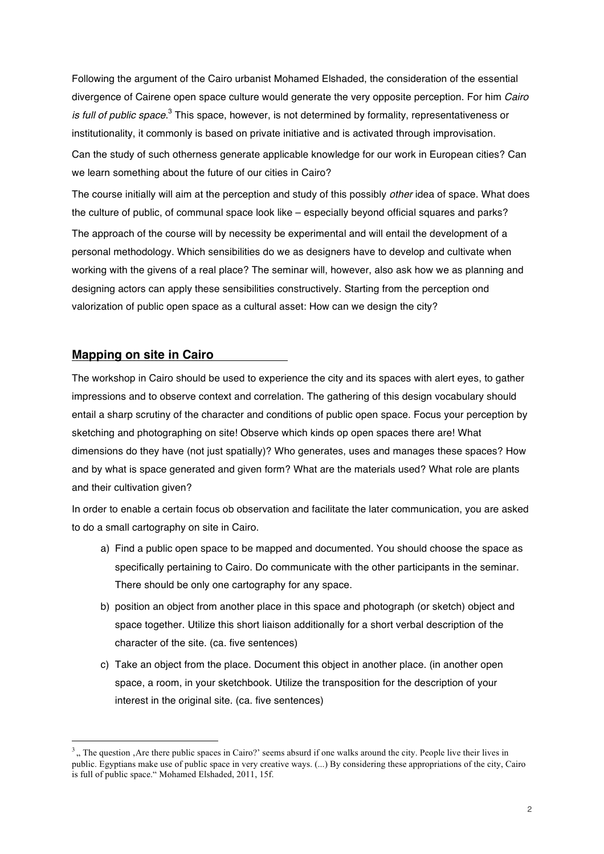Following the argument of the Cairo urbanist Mohamed Elshaded, the consideration of the essential divergence of Cairene open space culture would generate the very opposite perception. For him *Cairo is full of public space*. <sup>3</sup> This space, however, is not determined by formality, representativeness or institutionality, it commonly is based on private initiative and is activated through improvisation. Can the study of such otherness generate applicable knowledge for our work in European cities? Can we learn something about the future of our cities in Cairo?

The course initially will aim at the perception and study of this possibly *other* idea of space. What does the culture of public, of communal space look like – especially beyond official squares and parks? The approach of the course will by necessity be experimental and will entail the development of a personal methodology. Which sensibilities do we as designers have to develop and cultivate when working with the givens of a real place? The seminar will, however, also ask how we as planning and designing actors can apply these sensibilities constructively. Starting from the perception ond valorization of public open space as a cultural asset: How can we design the city?

## **Mapping on site in Cairo**

 $\overline{a}$ 

The workshop in Cairo should be used to experience the city and its spaces with alert eyes, to gather impressions and to observe context and correlation. The gathering of this design vocabulary should entail a sharp scrutiny of the character and conditions of public open space. Focus your perception by sketching and photographing on site! Observe which kinds op open spaces there are! What dimensions do they have (not just spatially)? Who generates, uses and manages these spaces? How and by what is space generated and given form? What are the materials used? What role are plants and their cultivation given?

In order to enable a certain focus ob observation and facilitate the later communication, you are asked to do a small cartography on site in Cairo.

- a) Find a public open space to be mapped and documented. You should choose the space as specifically pertaining to Cairo. Do communicate with the other participants in the seminar. There should be only one cartography for any space.
- b) position an object from another place in this space and photograph (or sketch) object and space together. Utilize this short liaison additionally for a short verbal description of the character of the site. (ca. five sentences)
- c) Take an object from the place. Document this object in another place. (in another open space, a room, in your sketchbook. Utilize the transposition for the description of your interest in the original site. (ca. five sentences)

 $3<sub>1</sub>$ , The question  $\Delta$  Are there public spaces in Cairo?' seems absurd if one walks around the city. People live their lives in public. Egyptians make use of public space in very creative ways. (...) By considering these appropriations of the city, Cairo is full of public space." Mohamed Elshaded, 2011, 15f.